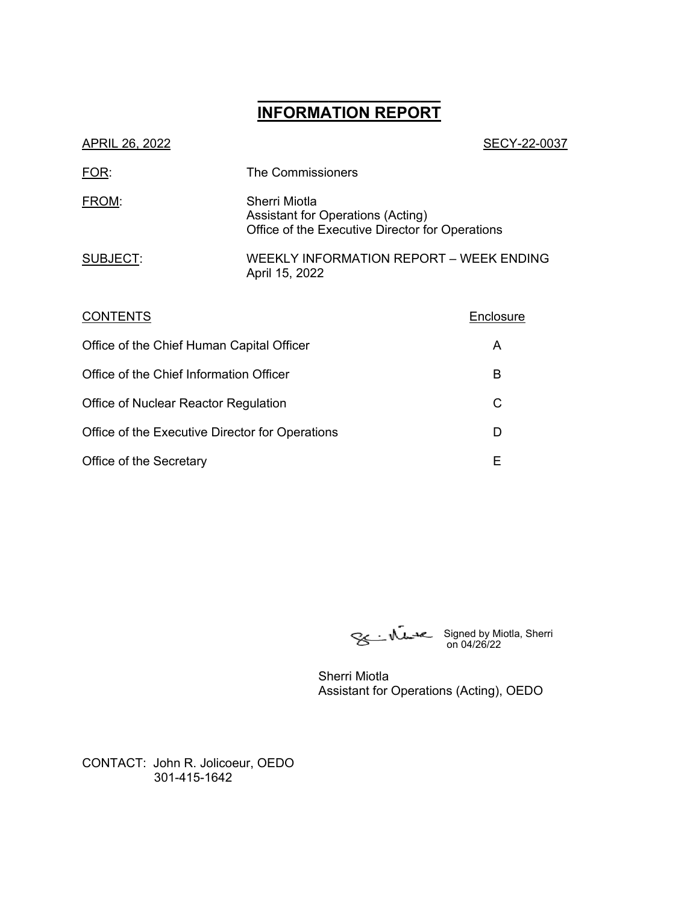## **\_\_\_\_\_\_\_\_\_\_\_\_\_\_\_\_\_\_ INFORMATION REPORT**

| APRIL 26, 2022  | SECY-22-0037                                                                                          |
|-----------------|-------------------------------------------------------------------------------------------------------|
| FOR:            | The Commissioners                                                                                     |
| FROM:           | Sherri Miotla<br>Assistant for Operations (Acting)<br>Office of the Executive Director for Operations |
| SUBJECT:        | WEEKLY INFORMATION REPORT – WEEK ENDING<br>April 15, 2022                                             |
| <b>CONTENTS</b> | Enclosure                                                                                             |

| Office of the Chief Human Capital Officer       | А |
|-------------------------------------------------|---|
| Office of the Chief Information Officer         | в |
| Office of Nuclear Reactor Regulation            |   |
| Office of the Executive Director for Operations |   |
| Office of the Secretary                         |   |

Signed by Miotla, Sherri on 04/26/22

Sherri Miotla Assistant for Operations (Acting), OEDO

CONTACT: John R. Jolicoeur, OEDO 301-415-1642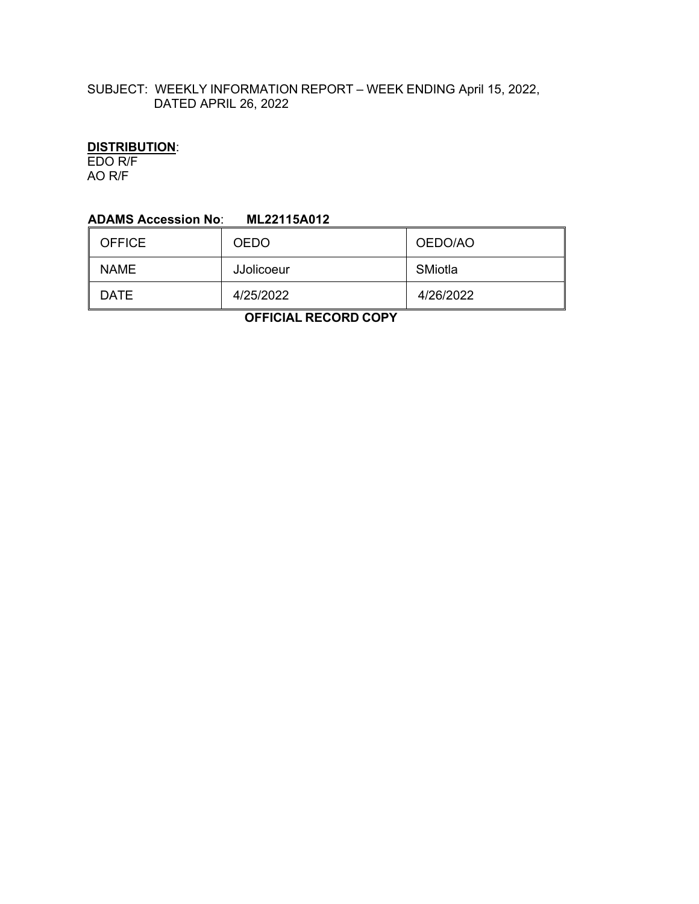## SUBJECT: WEEKLY INFORMATION REPORT – WEEK ENDING April 15, 2022, DATED APRIL 26, 2022

# **DISTRIBUTION**:

EDO R/F AO R/F

#### **ADAMS Accession No**: **ML22115A012**

| <b>OFFICE</b> | <b>OEDO</b>       | OEDO/AO   |
|---------------|-------------------|-----------|
| <b>NAME</b>   | <b>JJolicoeur</b> | SMiotla   |
| DATE          | 4/25/2022         | 4/26/2022 |

 **OFFICIAL RECORD COPY**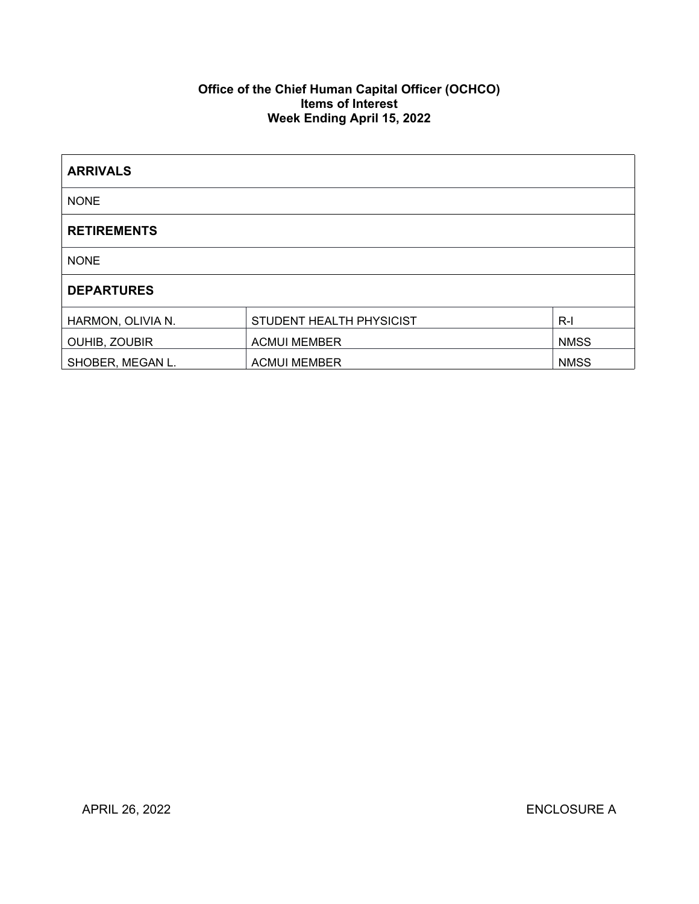### **Office of the Chief Human Capital Officer (OCHCO) Items of Interest Week Ending April 15, 2022**

| <b>ARRIVALS</b>      |                          |             |
|----------------------|--------------------------|-------------|
| <b>NONE</b>          |                          |             |
| <b>RETIREMENTS</b>   |                          |             |
| <b>NONE</b>          |                          |             |
| <b>DEPARTURES</b>    |                          |             |
| HARMON, OLIVIA N.    | STUDENT HEALTH PHYSICIST | $R-I$       |
| <b>OUHIB, ZOUBIR</b> | <b>ACMUI MEMBER</b>      | <b>NMSS</b> |
| SHOBER, MEGAN L.     | <b>ACMUI MEMBER</b>      | <b>NMSS</b> |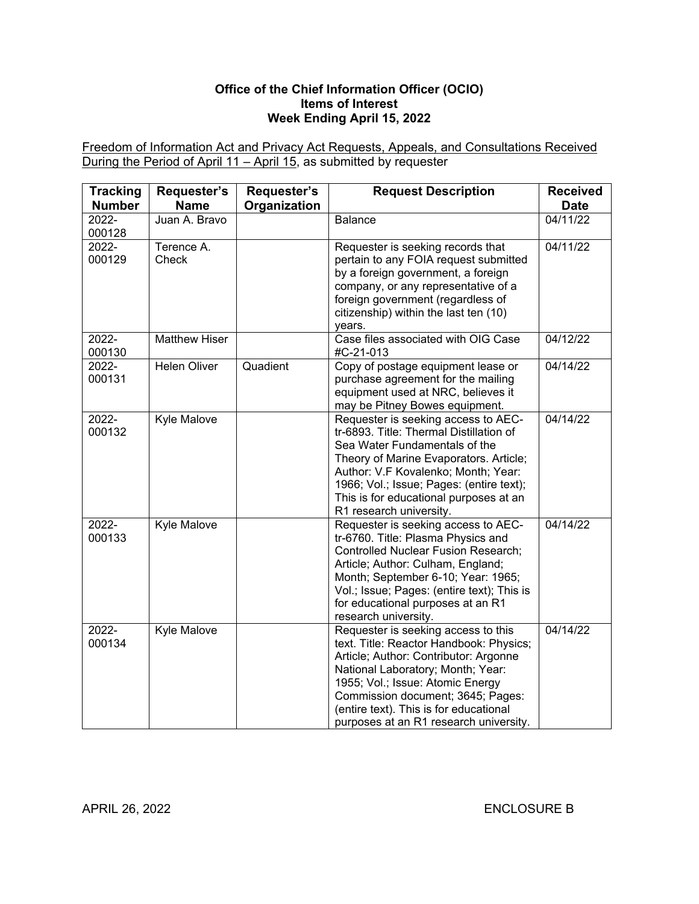### **Office of the Chief Information Officer (OCIO) Items of Interest Week Ending April 15, 2022**

Freedom of Information Act and Privacy Act Requests, Appeals, and Consultations Received During the Period of April 11 – April 15, as submitted by requester

| <b>Tracking</b><br><b>Number</b> | Requester's<br><b>Name</b> | Requester's<br>Organization | <b>Request Description</b>                                                                                                                                                                                                                                                                                                | <b>Received</b><br><b>Date</b> |
|----------------------------------|----------------------------|-----------------------------|---------------------------------------------------------------------------------------------------------------------------------------------------------------------------------------------------------------------------------------------------------------------------------------------------------------------------|--------------------------------|
| 2022-<br>000128                  | Juan A. Bravo              |                             | <b>Balance</b>                                                                                                                                                                                                                                                                                                            | 04/11/22                       |
| 2022-<br>000129                  | Terence A.<br>Check        |                             | Requester is seeking records that<br>pertain to any FOIA request submitted<br>by a foreign government, a foreign<br>company, or any representative of a<br>foreign government (regardless of<br>citizenship) within the last ten (10)<br>years.                                                                           | 04/11/22                       |
| 2022-<br>000130                  | <b>Matthew Hiser</b>       |                             | Case files associated with OIG Case<br>#C-21-013                                                                                                                                                                                                                                                                          | 04/12/22                       |
| 2022-<br>000131                  | <b>Helen Oliver</b>        | Quadient                    | Copy of postage equipment lease or<br>purchase agreement for the mailing<br>equipment used at NRC, believes it<br>may be Pitney Bowes equipment.                                                                                                                                                                          | 04/14/22                       |
| 2022-<br>000132                  | Kyle Malove                |                             | Requester is seeking access to AEC-<br>tr-6893. Title: Thermal Distillation of<br>Sea Water Fundamentals of the<br>Theory of Marine Evaporators. Article;<br>Author: V.F Kovalenko; Month; Year:<br>1966; Vol.; Issue; Pages: (entire text);<br>This is for educational purposes at an<br>R1 research university.         | 04/14/22                       |
| 2022-<br>000133                  | <b>Kyle Malove</b>         |                             | Requester is seeking access to AEC-<br>tr-6760. Title: Plasma Physics and<br>Controlled Nuclear Fusion Research;<br>Article; Author: Culham, England;<br>Month; September 6-10; Year: 1965;<br>Vol.; Issue; Pages: (entire text); This is<br>for educational purposes at an R1<br>research university.                    | 04/14/22                       |
| 2022-<br>000134                  | Kyle Malove                |                             | Requester is seeking access to this<br>text. Title: Reactor Handbook: Physics;<br>Article; Author: Contributor: Argonne<br>National Laboratory; Month; Year:<br>1955; Vol.; Issue: Atomic Energy<br>Commission document; 3645; Pages:<br>(entire text). This is for educational<br>purposes at an R1 research university. | 04/14/22                       |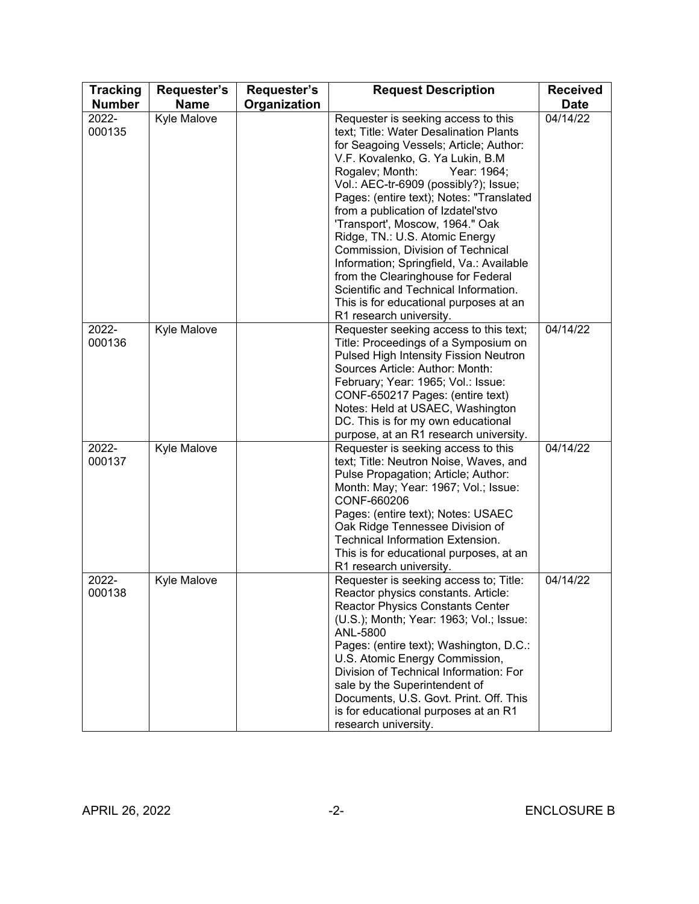| <b>Tracking</b><br><b>Number</b> | Requester's<br><b>Name</b> | Requester's<br>Organization | <b>Request Description</b>                                                                                                                                                                                                                                                                                                                                                                                                                                                                                                                                                                                                         | <b>Received</b><br><b>Date</b> |
|----------------------------------|----------------------------|-----------------------------|------------------------------------------------------------------------------------------------------------------------------------------------------------------------------------------------------------------------------------------------------------------------------------------------------------------------------------------------------------------------------------------------------------------------------------------------------------------------------------------------------------------------------------------------------------------------------------------------------------------------------------|--------------------------------|
| 2022-<br>000135                  | Kyle Malove                |                             | Requester is seeking access to this<br>text; Title: Water Desalination Plants<br>for Seagoing Vessels; Article; Author:<br>V.F. Kovalenko, G. Ya Lukin, B.M<br>Rogalev; Month:<br>Year: 1964;<br>Vol.: AEC-tr-6909 (possibly?); Issue;<br>Pages: (entire text); Notes: "Translated<br>from a publication of Izdatel'stvo<br>'Transport', Moscow, 1964." Oak<br>Ridge, TN.: U.S. Atomic Energy<br>Commission, Division of Technical<br>Information; Springfield, Va.: Available<br>from the Clearinghouse for Federal<br>Scientific and Technical Information.<br>This is for educational purposes at an<br>R1 research university. | 04/14/22                       |
| 2022-<br>000136                  | Kyle Malove                |                             | Requester seeking access to this text;<br>Title: Proceedings of a Symposium on<br>Pulsed High Intensity Fission Neutron<br>Sources Article: Author: Month:<br>February; Year: 1965; Vol.: Issue:<br>CONF-650217 Pages: (entire text)<br>Notes: Held at USAEC, Washington<br>DC. This is for my own educational<br>purpose, at an R1 research university.                                                                                                                                                                                                                                                                           | 04/14/22                       |
| 2022-<br>000137                  | Kyle Malove                |                             | Requester is seeking access to this<br>text; Title: Neutron Noise, Waves, and<br>Pulse Propagation; Article; Author:<br>Month: May; Year: 1967; Vol.; Issue:<br>CONF-660206<br>Pages: (entire text); Notes: USAEC<br>Oak Ridge Tennessee Division of<br><b>Technical Information Extension.</b><br>This is for educational purposes, at an<br>R1 research university.                                                                                                                                                                                                                                                              | 04/14/22                       |
| 2022-<br>000138                  | <b>Kyle Malove</b>         |                             | Requester is seeking access to; Title:<br>Reactor physics constants. Article:<br><b>Reactor Physics Constants Center</b><br>(U.S.); Month; Year: 1963; Vol.; Issue:<br>ANL-5800<br>Pages: (entire text); Washington, D.C.:<br>U.S. Atomic Energy Commission,<br>Division of Technical Information: For<br>sale by the Superintendent of<br>Documents, U.S. Govt. Print. Off. This<br>is for educational purposes at an R1<br>research university.                                                                                                                                                                                  | 04/14/22                       |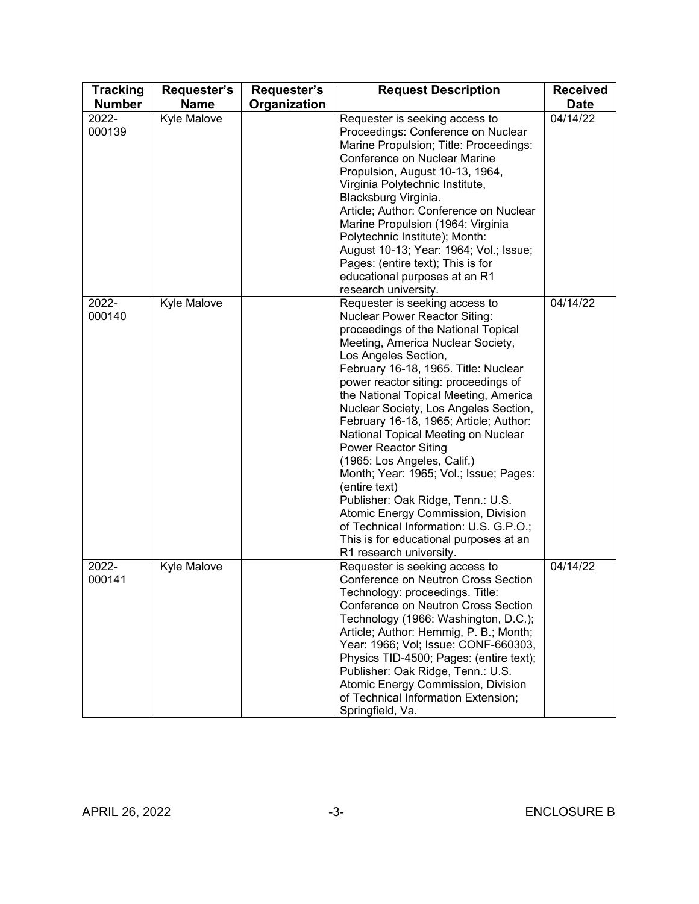| <b>Tracking</b><br><b>Number</b> | Requester's<br><b>Name</b> | Requester's<br>Organization | <b>Request Description</b>                                                                                                                                                                                                                                                                                                                                                                                                                                                                                                                                                                                                                                                                                                                       | <b>Received</b><br><b>Date</b> |
|----------------------------------|----------------------------|-----------------------------|--------------------------------------------------------------------------------------------------------------------------------------------------------------------------------------------------------------------------------------------------------------------------------------------------------------------------------------------------------------------------------------------------------------------------------------------------------------------------------------------------------------------------------------------------------------------------------------------------------------------------------------------------------------------------------------------------------------------------------------------------|--------------------------------|
| 2022-<br>000139                  | Kyle Malove                |                             | Requester is seeking access to<br>Proceedings: Conference on Nuclear<br>Marine Propulsion; Title: Proceedings:<br>Conference on Nuclear Marine<br>Propulsion, August 10-13, 1964,<br>Virginia Polytechnic Institute,<br>Blacksburg Virginia.<br>Article; Author: Conference on Nuclear<br>Marine Propulsion (1964: Virginia<br>Polytechnic Institute); Month:<br>August 10-13; Year: 1964; Vol.; Issue;<br>Pages: (entire text); This is for<br>educational purposes at an R1<br>research university.                                                                                                                                                                                                                                            | 04/14/22                       |
| 2022-<br>000140                  | Kyle Malove                |                             | Requester is seeking access to<br><b>Nuclear Power Reactor Siting:</b><br>proceedings of the National Topical<br>Meeting, America Nuclear Society,<br>Los Angeles Section,<br>February 16-18, 1965. Title: Nuclear<br>power reactor siting: proceedings of<br>the National Topical Meeting, America<br>Nuclear Society, Los Angeles Section,<br>February 16-18, 1965; Article; Author:<br>National Topical Meeting on Nuclear<br><b>Power Reactor Siting</b><br>(1965: Los Angeles, Calif.)<br>Month; Year: 1965; Vol.; Issue; Pages:<br>(entire text)<br>Publisher: Oak Ridge, Tenn.: U.S.<br>Atomic Energy Commission, Division<br>of Technical Information: U.S. G.P.O.;<br>This is for educational purposes at an<br>R1 research university. | 04/14/22                       |
| 2022-<br>000141                  | Kyle Malove                |                             | Requester is seeking access to<br>Conference on Neutron Cross Section<br>Technology: proceedings. Title:<br>Conference on Neutron Cross Section<br>Technology (1966: Washington, D.C.);<br>Article; Author: Hemmig, P. B.; Month;<br>Year: 1966; Vol; Issue: CONF-660303,<br>Physics TID-4500; Pages: (entire text);<br>Publisher: Oak Ridge, Tenn.: U.S.<br>Atomic Energy Commission, Division<br>of Technical Information Extension;<br>Springfield, Va.                                                                                                                                                                                                                                                                                       | 04/14/22                       |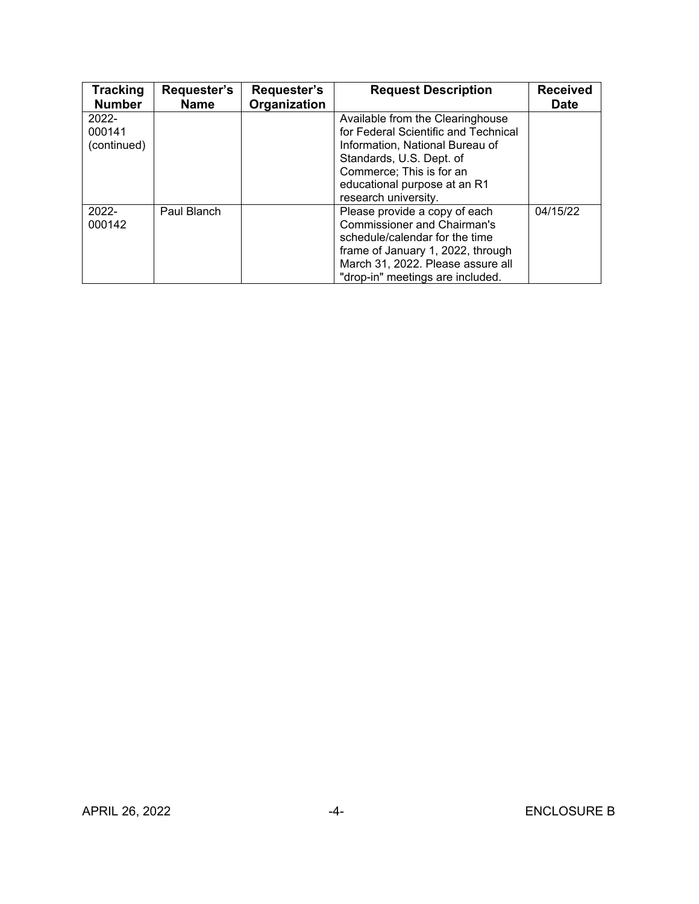| <b>Tracking</b><br><b>Number</b>  | Requester's<br><b>Name</b> | Requester's<br>Organization | <b>Request Description</b>                                                                                                                                                                                                  | <b>Received</b><br><b>Date</b> |
|-----------------------------------|----------------------------|-----------------------------|-----------------------------------------------------------------------------------------------------------------------------------------------------------------------------------------------------------------------------|--------------------------------|
| $2022 -$<br>000141<br>(continued) |                            |                             | Available from the Clearinghouse<br>for Federal Scientific and Technical<br>Information, National Bureau of<br>Standards, U.S. Dept. of<br>Commerce; This is for an<br>educational purpose at an R1<br>research university. |                                |
| $2022 -$<br>000142                | Paul Blanch                |                             | Please provide a copy of each<br><b>Commissioner and Chairman's</b><br>schedule/calendar for the time<br>frame of January 1, 2022, through<br>March 31, 2022. Please assure all<br>"drop-in" meetings are included.         | 04/15/22                       |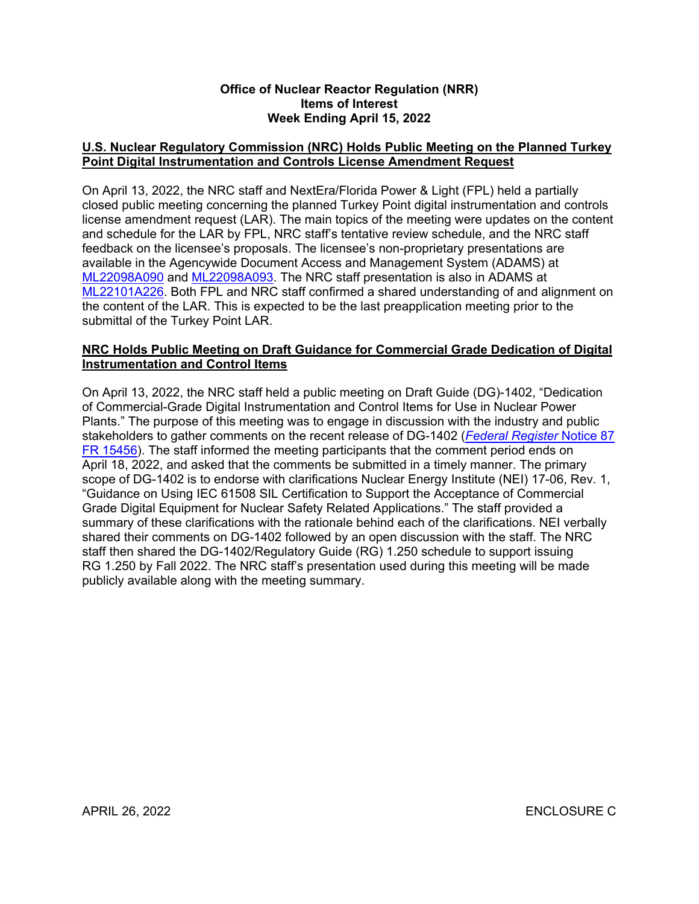#### **Office of Nuclear Reactor Regulation (NRR) Items of Interest Week Ending April 15, 2022**

## **U.S. Nuclear Regulatory Commission (NRC) Holds Public Meeting on the Planned Turkey Point Digital Instrumentation and Controls License Amendment Request**

On April 13, 2022, the NRC staff and NextEra/Florida Power & Light (FPL) held a partially closed public meeting concerning the planned Turkey Point digital instrumentation and controls license amendment request (LAR). The main topics of the meeting were updates on the content and schedule for the LAR by FPL, NRC staff's tentative review schedule, and the NRC staff feedback on the licensee's proposals. The licensee's non-proprietary presentations are available in the Agencywide Document Access and Management System (ADAMS) at [ML22098A090](https://adamsxt.nrc.gov/navigator/AdamsXT/content/downloadContent.faces?objectStoreName=MainLibrary&vsId=%7b18F97338-B94E-CB55-84AF-800993A00000%7d&ForceBrowserDownloadMgrPrompt=false) and [ML22098A093.](https://adamsxt.nrc.gov/navigator/AdamsXT/content/downloadContent.faces?objectStoreName=MainLibrary&vsId=%7bDA1232B0-0CBE-CFA3-85B0-8009A1F00000%7d&ForceBrowserDownloadMgrPrompt=false) The NRC staff presentation is also in ADAMS at [ML22101A226.](https://adamsxt.nrc.gov/navigator/AdamsXT/content/downloadContent.faces?objectStoreName=MainLibrary&ForceBrowserDownloadMgrPrompt=false&vsId=%7bE92ECF82-1B4A-C2B3-86B3-801A0E300000%7d) Both FPL and NRC staff confirmed a shared understanding of and alignment on the content of the LAR. This is expected to be the last preapplication meeting prior to the submittal of the Turkey Point LAR.

## **NRC Holds Public Meeting on Draft Guidance for Commercial Grade Dedication of Digital Instrumentation and Control Items**

On April 13, 2022, the NRC staff held a public meeting on Draft Guide (DG)-1402, "Dedication of Commercial-Grade Digital Instrumentation and Control Items for Use in Nuclear Power Plants." The purpose of this meeting was to engage in discussion with the industry and public stakeholders to gather comments on the recent release of DG-1402 (*[Federal Register](https://www.federalregister.gov/documents/2022/03/18/2022-05712/dedication-of-commercial-grade-digital-instrumentation-and-control-items-for-use-in-nuclear-power)* Notice 87 [FR 15456](https://www.federalregister.gov/documents/2022/03/18/2022-05712/dedication-of-commercial-grade-digital-instrumentation-and-control-items-for-use-in-nuclear-power)). The staff informed the meeting participants that the comment period ends on April 18, 2022, and asked that the comments be submitted in a timely manner. The primary scope of DG-1402 is to endorse with clarifications Nuclear Energy Institute (NEI) 17-06, Rev. 1, "Guidance on Using IEC 61508 SIL Certification to Support the Acceptance of Commercial Grade Digital Equipment for Nuclear Safety Related Applications." The staff provided a summary of these clarifications with the rationale behind each of the clarifications. NEI verbally shared their comments on DG-1402 followed by an open discussion with the staff. The NRC staff then shared the DG-1402/Regulatory Guide (RG) 1.250 schedule to support issuing RG 1.250 by Fall 2022. The NRC staff's presentation used during this meeting will be made publicly available along with the meeting summary.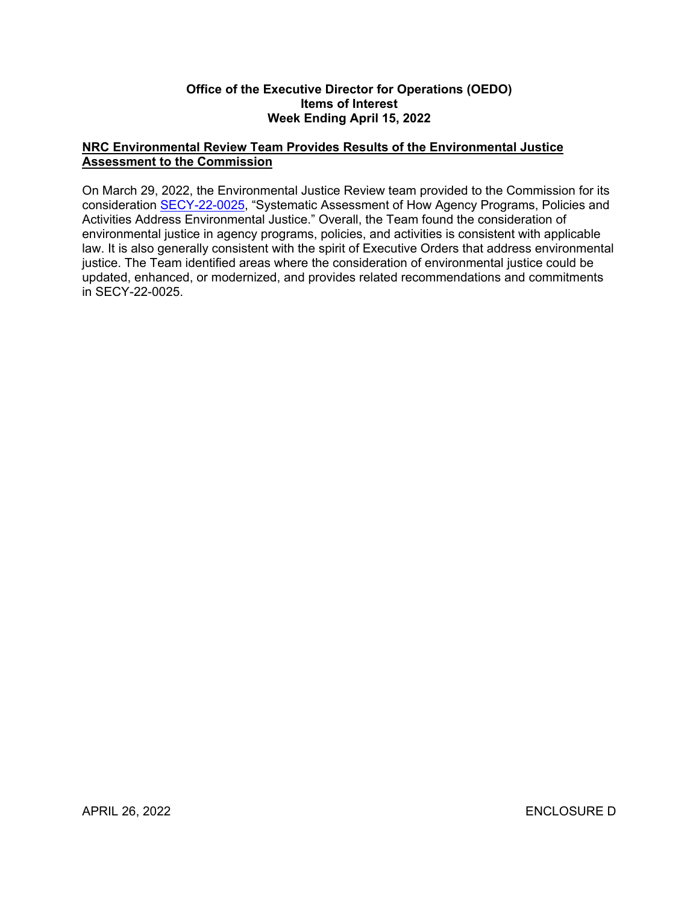#### **Office of the Executive Director for Operations (OEDO) Items of Interest Week Ending April 15, 2022**

## **NRC Environmental Review Team Provides Results of the Environmental Justice Assessment to the Commission**

On March 29, 2022, the Environmental Justice Review team provided to the Commission for its consideration [SECY-22-0025](https://www.nrc.gov/docs/ML2203/ML22031A063.html), "Systematic Assessment of How Agency Programs, Policies and Activities Address Environmental Justice." Overall, the Team found the consideration of environmental justice in agency programs, policies, and activities is consistent with applicable law. It is also generally consistent with the spirit of Executive Orders that address environmental justice. The Team identified areas where the consideration of environmental justice could be updated, enhanced, or modernized, and provides related recommendations and commitments in SECY-22-0025.